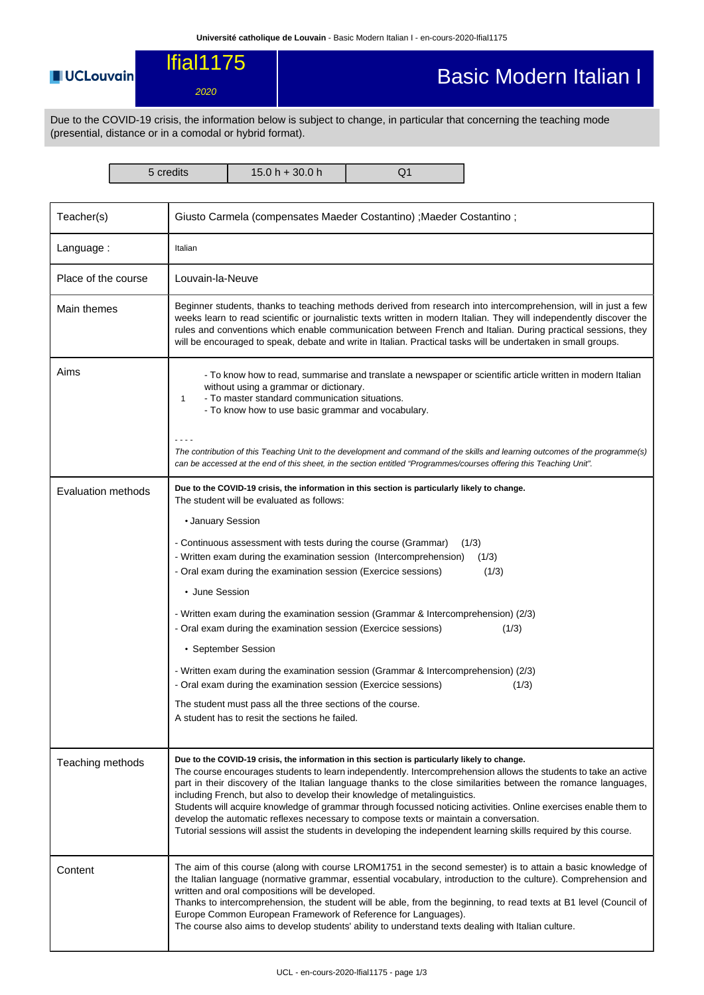## **UCLouvain**

## lfial1175 2020

## Basic Modern Italian I

Due to the COVID-19 crisis, the information below is subject to change, in particular that concerning the teaching mode (presential, distance or in a comodal or hybrid format).

5 credits 15.0 h + 30.0 h Q1

| Teacher(s)          | Giusto Carmela (compensates Maeder Costantino) ; Maeder Costantino ;                                                                                                                                                                                                                                                                                                                                                                                                                                                                                                                                                                                                                                                                               |  |  |  |  |  |
|---------------------|----------------------------------------------------------------------------------------------------------------------------------------------------------------------------------------------------------------------------------------------------------------------------------------------------------------------------------------------------------------------------------------------------------------------------------------------------------------------------------------------------------------------------------------------------------------------------------------------------------------------------------------------------------------------------------------------------------------------------------------------------|--|--|--|--|--|
| Language:           | Italian                                                                                                                                                                                                                                                                                                                                                                                                                                                                                                                                                                                                                                                                                                                                            |  |  |  |  |  |
| Place of the course | Louvain-la-Neuve                                                                                                                                                                                                                                                                                                                                                                                                                                                                                                                                                                                                                                                                                                                                   |  |  |  |  |  |
| Main themes         | Beginner students, thanks to teaching methods derived from research into intercomprehension, will in just a few<br>weeks learn to read scientific or journalistic texts written in modern Italian. They will independently discover the<br>rules and conventions which enable communication between French and Italian. During practical sessions, they<br>will be encouraged to speak, debate and write in Italian. Practical tasks will be undertaken in small groups.                                                                                                                                                                                                                                                                           |  |  |  |  |  |
| Aims                | - To know how to read, summarise and translate a newspaper or scientific article written in modern Italian<br>without using a grammar or dictionary.<br>- To master standard communication situations.<br>$\mathbf{1}$<br>- To know how to use basic grammar and vocabulary.                                                                                                                                                                                                                                                                                                                                                                                                                                                                       |  |  |  |  |  |
|                     | The contribution of this Teaching Unit to the development and command of the skills and learning outcomes of the programme(s)<br>can be accessed at the end of this sheet, in the section entitled "Programmes/courses offering this Teaching Unit".                                                                                                                                                                                                                                                                                                                                                                                                                                                                                               |  |  |  |  |  |
| Evaluation methods  | Due to the COVID-19 crisis, the information in this section is particularly likely to change.<br>The student will be evaluated as follows:                                                                                                                                                                                                                                                                                                                                                                                                                                                                                                                                                                                                         |  |  |  |  |  |
|                     | • January Session                                                                                                                                                                                                                                                                                                                                                                                                                                                                                                                                                                                                                                                                                                                                  |  |  |  |  |  |
|                     | - Continuous assessment with tests during the course (Grammar)<br>(1/3)                                                                                                                                                                                                                                                                                                                                                                                                                                                                                                                                                                                                                                                                            |  |  |  |  |  |
|                     | - Written exam during the examination session (Intercomprehension)<br>(1/3)                                                                                                                                                                                                                                                                                                                                                                                                                                                                                                                                                                                                                                                                        |  |  |  |  |  |
|                     | - Oral exam during the examination session (Exercice sessions)<br>(1/3)                                                                                                                                                                                                                                                                                                                                                                                                                                                                                                                                                                                                                                                                            |  |  |  |  |  |
|                     | • June Session                                                                                                                                                                                                                                                                                                                                                                                                                                                                                                                                                                                                                                                                                                                                     |  |  |  |  |  |
|                     | - Written exam during the examination session (Grammar & Intercomprehension) (2/3)<br>- Oral exam during the examination session (Exercice sessions)<br>(1/3)                                                                                                                                                                                                                                                                                                                                                                                                                                                                                                                                                                                      |  |  |  |  |  |
|                     | • September Session                                                                                                                                                                                                                                                                                                                                                                                                                                                                                                                                                                                                                                                                                                                                |  |  |  |  |  |
|                     | - Written exam during the examination session (Grammar & Intercomprehension) (2/3)<br>- Oral exam during the examination session (Exercice sessions)<br>(1/3)                                                                                                                                                                                                                                                                                                                                                                                                                                                                                                                                                                                      |  |  |  |  |  |
|                     | The student must pass all the three sections of the course.                                                                                                                                                                                                                                                                                                                                                                                                                                                                                                                                                                                                                                                                                        |  |  |  |  |  |
|                     | A student has to resit the sections he failed.                                                                                                                                                                                                                                                                                                                                                                                                                                                                                                                                                                                                                                                                                                     |  |  |  |  |  |
| Teaching methods    | Due to the COVID-19 crisis, the information in this section is particularly likely to change.<br>The course encourages students to learn independently. Intercomprehension allows the students to take an active<br>part in their discovery of the Italian language thanks to the close similarities between the romance languages,<br>including French, but also to develop their knowledge of metalinguistics.<br>Students will acquire knowledge of grammar through focussed noticing activities. Online exercises enable them to<br>develop the automatic reflexes necessary to compose texts or maintain a conversation.<br>Tutorial sessions will assist the students in developing the independent learning skills required by this course. |  |  |  |  |  |
| Content             | The aim of this course (along with course LROM1751 in the second semester) is to attain a basic knowledge of<br>the Italian language (normative grammar, essential vocabulary, introduction to the culture). Comprehension and<br>written and oral compositions will be developed.<br>Thanks to intercomprehension, the student will be able, from the beginning, to read texts at B1 level (Council of<br>Europe Common European Framework of Reference for Languages).<br>The course also aims to develop students' ability to understand texts dealing with Italian culture.                                                                                                                                                                    |  |  |  |  |  |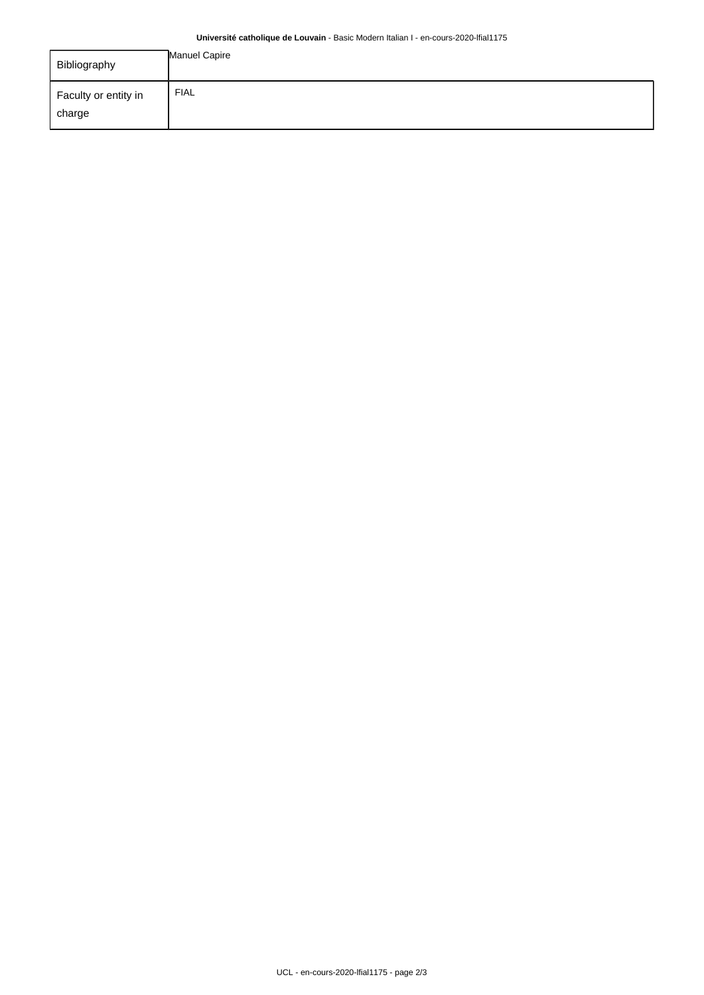## **Université catholique de Louvain** - Basic Modern Italian I - en-cours-2020-lfial1175

| Bibliography                   | Manuel Capire |
|--------------------------------|---------------|
| Faculty or entity in<br>charge | <b>FIAL</b>   |